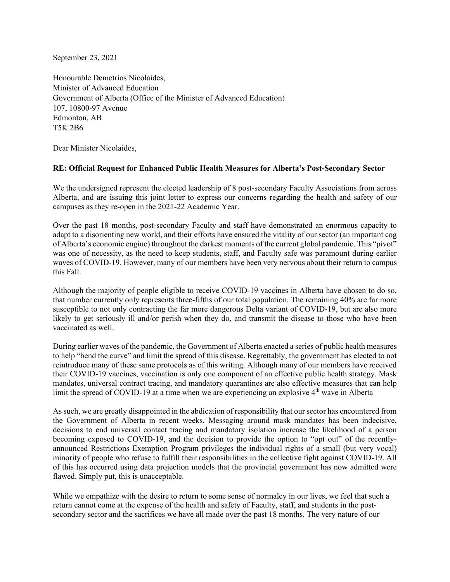September 23, 2021

Honourable Demetrios Nicolaides, Minister of Advanced Education Government of Alberta (Office of the Minister of Advanced Education) 107, 10800-97 Avenue Edmonton, AB T5K 2B6

Dear Minister Nicolaides,

## **RE: Official Request for Enhanced Public Health Measures for Alberta's Post-Secondary Sector**

We the undersigned represent the elected leadership of 8 post-secondary Faculty Associations from across Alberta, and are issuing this joint letter to express our concerns regarding the health and safety of our campuses as they re-open in the 2021-22 Academic Year.

Over the past 18 months, post-secondary Faculty and staff have demonstrated an enormous capacity to adapt to a disorienting new world, and their efforts have ensured the vitality of our sector (an important cog of Alberta's economic engine) throughout the darkest moments of the current global pandemic. This "pivot" was one of necessity, as the need to keep students, staff, and Faculty safe was paramount during earlier waves of COVID-19. However, many of our members have been very nervous about their return to campus this Fall.

Although the majority of people eligible to receive COVID-19 vaccines in Alberta have chosen to do so, that number currently only represents three-fifths of our total population. The remaining 40% are far more susceptible to not only contracting the far more dangerous Delta variant of COVID-19, but are also more likely to get seriously ill and/or perish when they do, and transmit the disease to those who have been vaccinated as well.

During earlier waves of the pandemic, the Government of Alberta enacted a series of public health measures to help "bend the curve" and limit the spread of this disease. Regrettably, the government has elected to not reintroduce many of these same protocols as of this writing. Although many of our members have received their COVID-19 vaccines, vaccination is only one component of an effective public health strategy. Mask mandates, universal contract tracing, and mandatory quarantines are also effective measures that can help limit the spread of COVID-19 at a time when we are experiencing an explosive  $4<sup>th</sup>$  wave in Alberta

As such, we are greatly disappointed in the abdication of responsibility that our sector has encountered from the Government of Alberta in recent weeks. Messaging around mask mandates has been indecisive, decisions to end universal contact tracing and mandatory isolation increase the likelihood of a person becoming exposed to COVID-19, and the decision to provide the option to "opt out" of the recentlyannounced Restrictions Exemption Program privileges the individual rights of a small (but very vocal) minority of people who refuse to fulfill their responsibilities in the collective fight against COVID-19. All of this has occurred using data projection models that the provincial government has now admitted were flawed. Simply put, this is unacceptable.

While we empathize with the desire to return to some sense of normalcy in our lives, we feel that such a return cannot come at the expense of the health and safety of Faculty, staff, and students in the postsecondary sector and the sacrifices we have all made over the past 18 months. The very nature of our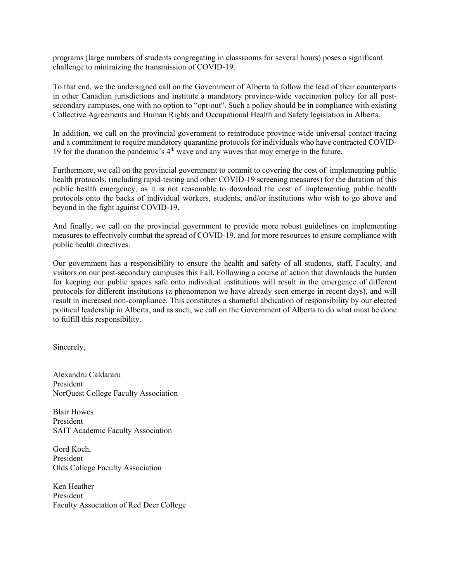programs (large numbers of students congregating in classrooms for several hours) poses a significant challenge to minimizing the transmission of COVID-19.

To that end, we the undersigned call on the Government of Alberta to follow the lead of their counterparts in other Canadian jurisdictions and institute a mandatory province-wide vaccination policy for all postsecondary campuses, one with no option to "opt-out". Such a policy should be in compliance with existing Collective Agreements and Human Rights and Occupational Health and Safety legislation in Alberta.

In addition, we call on the provincial government to reintroduce province-wide universal contact tracing and a commitment to require mandatory quarantine protocols for individuals who have contracted COVID-19 for the duration the pandemic's  $4<sup>th</sup>$  wave and any waves that may emerge in the future.

Furthermore, we call on the provincial government to commit to covering the cost of implementing public health protocols, (including rapid-testing and other COVID-19 screening measures) for the duration of this public health emergency, as it is not reasonable to download the cost of implementing public health protocols onto the backs of individual workers, students, and/or institutions who wish to go above and beyond in the fight against COVID-19.

And finally, we call on the provincial government to provide more robust guidelines on implementing measures to effectively combat the spread of COVID-19, and for more resources to ensure compliance with public health directives.

Our government has a responsibility to ensure the health and safety of all students, staff, Faculty, and visitors on our post-secondary campuses this Fall. Following a course of action that downloads the burden for keeping our public spaces safe onto individual institutions will result in the emergence of different protocols for different institutions (a phenomenon we have already seen emerge in recent days), and will result in increased non-compliance. This constitutes a shameful abdication of responsibility by our elected political leadership in Alberta, and as such, we call on the Government of Alberta to do what must be done to fulfill this responsibility.

Sincerely,

Alexandru Caldararu President NorQuest College Faculty Association

Blair Howes President SAIT Academic Faculty Association

Gord Koch, President Olds College Faculty Association

Ken Heather President Faculty Association of Red Deer College